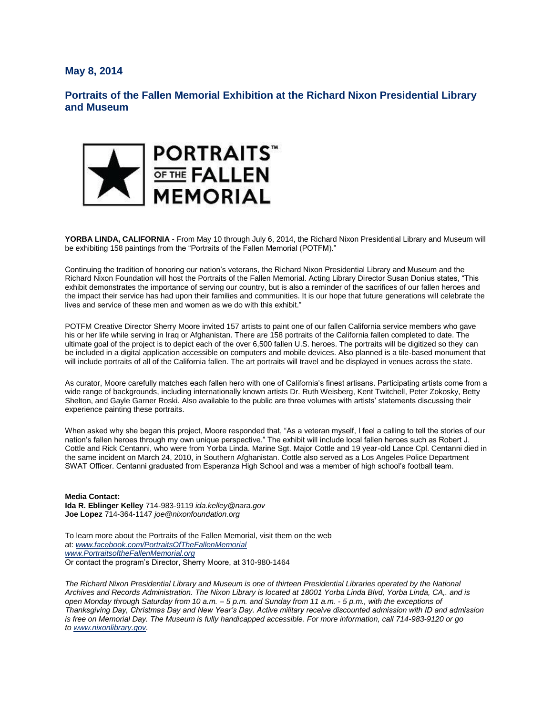## **May 8, 2014**

## **Portraits of the Fallen Memorial Exhibition at the Richard Nixon Presidential Library and Museum**



**YORBA LINDA, CALIFORNIA** - From May 10 through July 6, 2014, the Richard Nixon Presidential Library and Museum will be exhibiting 158 paintings from the "Portraits of the Fallen Memorial (POTFM)."

Continuing the tradition of honoring our nation's veterans, the Richard Nixon Presidential Library and Museum and the Richard Nixon Foundation will host the Portraits of the Fallen Memorial. Acting Library Director Susan Donius states, "This exhibit demonstrates the importance of serving our country, but is also a reminder of the sacrifices of our fallen heroes and the impact their service has had upon their families and communities. It is our hope that future generations will celebrate the lives and service of these men and women as we do with this exhibit."

POTFM Creative Director Sherry Moore invited 157 artists to paint one of our fallen California service members who gave his or her life while serving in Iraq or Afghanistan. There are 158 portraits of the California fallen completed to date. The ultimate goal of the project is to depict each of the over 6,500 fallen U.S. heroes. The portraits will be digitized so they can be included in a digital application accessible on computers and mobile devices. Also planned is a tile-based monument that will include portraits of all of the California fallen. The art portraits will travel and be displayed in venues across the state.

As curator, Moore carefully matches each fallen hero with one of California's finest artisans. Participating artists come from a wide range of backgrounds, including internationally known artists Dr. Ruth Weisberg, Kent Twitchell, Peter Zokosky, Betty Shelton, and Gayle Garner Roski. Also available to the public are three volumes with artists' statements discussing their experience painting these portraits.

When asked why she began this project, Moore responded that, "As a veteran myself, I feel a calling to tell the stories of our nation's fallen heroes through my own unique perspective." The exhibit will include local fallen heroes such as Robert J. Cottle and Rick Centanni, who were from Yorba Linda. Marine Sgt. Major Cottle and 19 year-old Lance Cpl. Centanni died in the same incident on March 24, 2010, in Southern Afghanistan. Cottle also served as a Los Angeles Police Department SWAT Officer. Centanni graduated from Esperanza High School and was a member of high school's football team.

## **Media Contact:**

**Ida R. Eblinger Kelley** 714-983-9119 *ida.kelley@nara.gov* **Joe Lopez** 714-364-1147 *joe@nixonfoundation.org*

To learn more about the Portraits of the Fallen Memorial, visit them on the web at: *[www.facebook.com/PortraitsOfTheFallenMemorial](http://www.facebook.com/PortraitsOfTheFallenMemorial) [www.PortraitsoftheFallenMemorial.org](http://www.portraitsofthefallenmemorial.org/)* Or contact the program's Director, Sherry Moore, at 310-980-1464

*The Richard Nixon Presidential Library and Museum is one of thirteen Presidential Libraries operated by the National Archives and Records Administration. The Nixon Library is located at 18001 Yorba Linda Blvd, Yorba Linda, CA,. and is open Monday through Saturday from 10 a.m. – 5 p.m. and Sunday from 11 a.m. - 5 p.m., with the exceptions of Thanksgiving Day, Christmas Day and New Year's Day. Active military receive discounted admission with ID and admission is free on Memorial Day. The Museum is fully handicapped accessible. For more information, call 714-983-9120 or go to [www.nixonlibrary.gov.](http://www.nixonlibrary.gov/)*